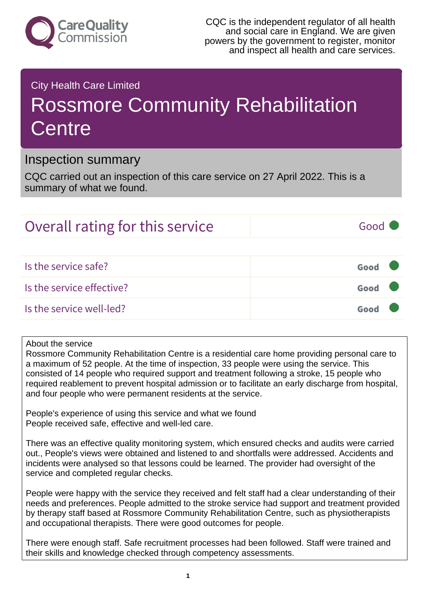

### City Health Care Limited

# Rossmore Community Rehabilitation **Centre**

### Inspection summary

CQC carried out an inspection of this care service on 27 April 2022. This is a summary of what we found.

# Overall rating for this service and all the Good

Is the service safe? Good Is the service effective? Good Is the service well-led? Good

#### About the service

Rossmore Community Rehabilitation Centre is a residential care home providing personal care to a maximum of 52 people. At the time of inspection, 33 people were using the service. This consisted of 14 people who required support and treatment following a stroke, 15 people who required reablement to prevent hospital admission or to facilitate an early discharge from hospital, and four people who were permanent residents at the service.

People's experience of using this service and what we found People received safe, effective and well-led care.

There was an effective quality monitoring system, which ensured checks and audits were carried out., People's views were obtained and listened to and shortfalls were addressed. Accidents and incidents were analysed so that lessons could be learned. The provider had oversight of the service and completed regular checks.

People were happy with the service they received and felt staff had a clear understanding of their needs and preferences. People admitted to the stroke service had support and treatment provided by therapy staff based at Rossmore Community Rehabilitation Centre, such as physiotherapists and occupational therapists. There were good outcomes for people.

There were enough staff. Safe recruitment processes had been followed. Staff were trained and their skills and knowledge checked through competency assessments.